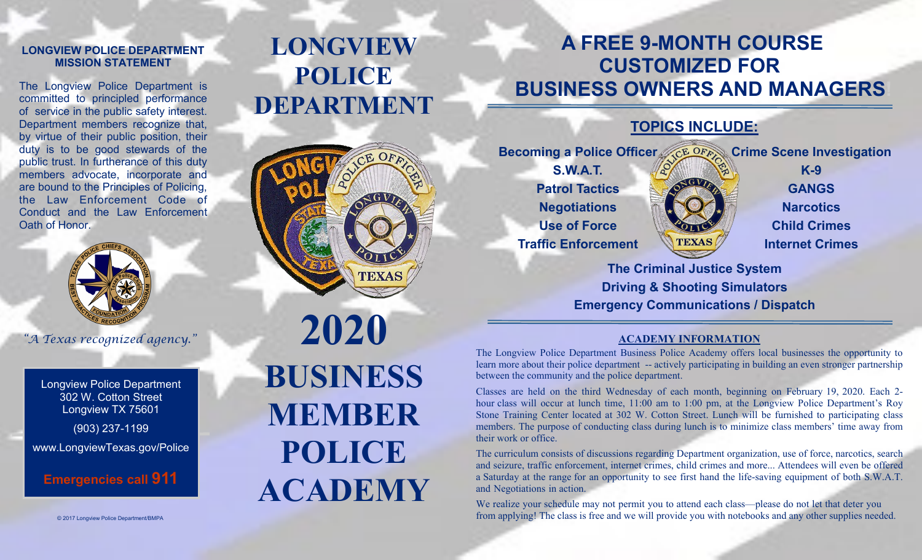#### **LONGVIEW POLICE DEPARTMENT MISSION STATEMENT**

The Longview Police Department is committed to principled performance of service in the public safety interest. Department members recognize that, by virtue of their public position, their duty is to be good stewards of the public trust. In furtherance of this duty members advocate, incorporate and are bound to the Principles of Policing, the Law Enforcement Code of Conduct and the Law Enforcement Oath of Honor.



*"A Texas recognized agency."*

Longview Police Department 302 W. Cotton Street Longview TX 75601

(903) 237-1199

www.LongviewTexas.gov/Police

**Emergencies call 911**

# **LONGVIEW POLICE DEPARTMENT**



**2020 BUSINESS MEMBER POLICE ACADEMY** 

## **A FREE 9-MONTH COURSE CUSTOMIZED FOR BUSINESS OWNERS AND MANAGERS**

## **TOPICS INCLUDE:**

**Becoming a Police Officer CE OFAN Crime Scene Investigation S.W.A.T. Patrol Tactics Negotiations Use of Force Traffic Enforcement K-9 GANGS Narcotics Child Crimes Internet Crimes** 

> **The Criminal Justice System Driving & Shooting Simulators Emergency Communications / Dispatch**

#### **ACADEMY INFORMATION**

The Longview Police Department Business Police Academy offers local businesses the opportunity to learn more about their police department -- actively participating in building an even stronger partnership between the community and the police department.

Classes are held on the third Wednesday of each month, beginning on February 19, 2020. Each 2 hour class will occur at lunch time, 11:00 am to 1:00 pm, at the Longview Police Department's Roy Stone Training Center located at 302 W. Cotton Street. Lunch will be furnished to participating class members. The purpose of conducting class during lunch is to minimize class members' time away from their work or office.

The curriculum consists of discussions regarding Department organization, use of force, narcotics, search and seizure, traffic enforcement, internet crimes, child crimes and more... Attendees will even be offered a Saturday at the range for an opportunity to see first hand the life-saving equipment of both S.W.A.T. and Negotiations in action.

We realize your schedule may not permit you to attend each class—please do not let that deter you from applying! The class is free and we will provide you with notebooks and any other supplies needed.